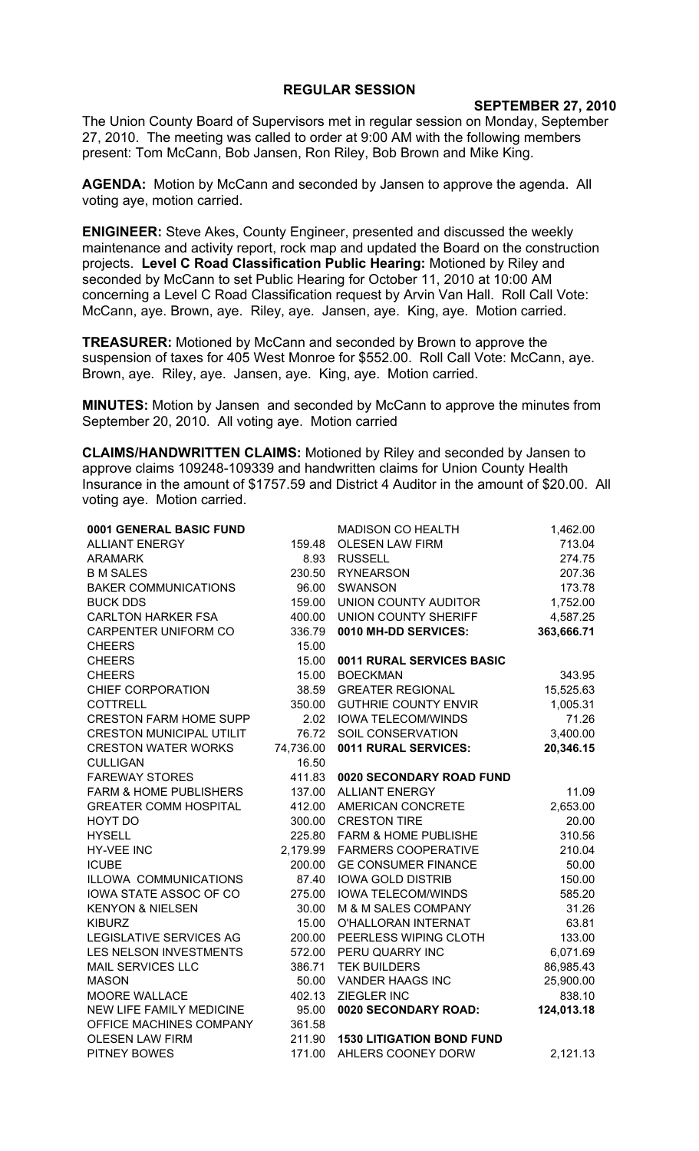## **REGULAR SESSION**

## **SEPTEMBER 27, 2010**

The Union County Board of Supervisors met in regular session on Monday, September 27, 2010. The meeting was called to order at 9:00 AM with the following members present: Tom McCann, Bob Jansen, Ron Riley, Bob Brown and Mike King.

**AGENDA:** Motion by McCann and seconded by Jansen to approve the agenda. All voting aye, motion carried.

**ENIGINEER:** Steve Akes, County Engineer, presented and discussed the weekly maintenance and activity report, rock map and updated the Board on the construction projects. **Level C Road Classification Public Hearing:** Motioned by Riley and seconded by McCann to set Public Hearing for October 11, 2010 at 10:00 AM concerning a Level C Road Classification request by Arvin Van Hall. Roll Call Vote: McCann, aye. Brown, aye. Riley, aye. Jansen, aye. King, aye. Motion carried.

**TREASURER:** Motioned by McCann and seconded by Brown to approve the suspension of taxes for 405 West Monroe for \$552.00. Roll Call Vote: McCann, aye. Brown, aye. Riley, aye. Jansen, aye. King, aye. Motion carried.

**MINUTES:** Motion by Jansen and seconded by McCann to approve the minutes from September 20, 2010. All voting aye. Motion carried

**CLAIMS/HANDWRITTEN CLAIMS:** Motioned by Riley and seconded by Jansen to approve claims 109248-109339 and handwritten claims for Union County Health Insurance in the amount of \$1757.59 and District 4 Auditor in the amount of \$20.00. All voting aye. Motion carried.

| 0001 GENERAL BASIC FUND           |           | <b>MADISON CO HEALTH</b>         | 1,462.00   |
|-----------------------------------|-----------|----------------------------------|------------|
| <b>ALLIANT ENERGY</b>             | 159.48    | <b>OLESEN LAW FIRM</b>           | 713.04     |
| <b>ARAMARK</b>                    | 8.93      | <b>RUSSELL</b>                   | 274.75     |
| <b>B M SALES</b>                  | 230.50    | <b>RYNEARSON</b>                 | 207.36     |
| <b>BAKER COMMUNICATIONS</b>       | 96.00     | <b>SWANSON</b>                   | 173.78     |
| <b>BUCK DDS</b>                   | 159.00    | UNION COUNTY AUDITOR             | 1,752.00   |
| <b>CARLTON HARKER FSA</b>         | 400.00    | UNION COUNTY SHERIFF             | 4,587.25   |
| CARPENTER UNIFORM CO              | 336.79    | 0010 MH-DD SERVICES:             | 363,666.71 |
| <b>CHEERS</b>                     | 15.00     |                                  |            |
| <b>CHEERS</b>                     | 15.00     | 0011 RURAL SERVICES BASIC        |            |
| <b>CHEERS</b>                     | 15.00     | <b>BOECKMAN</b>                  | 343.95     |
| CHIEF CORPORATION                 | 38.59     | <b>GREATER REGIONAL</b>          | 15,525.63  |
| <b>COTTRELL</b>                   | 350.00    | <b>GUTHRIE COUNTY ENVIR</b>      | 1,005.31   |
| <b>CRESTON FARM HOME SUPP</b>     | 2.02      | <b>IOWA TELECOM/WINDS</b>        | 71.26      |
| <b>CRESTON MUNICIPAL UTILIT</b>   | 76.72     | SOIL CONSERVATION                | 3,400.00   |
| <b>CRESTON WATER WORKS</b>        | 74,736.00 | 0011 RURAL SERVICES:             | 20,346.15  |
| <b>CULLIGAN</b>                   | 16.50     |                                  |            |
| <b>FAREWAY STORES</b>             | 411.83    | 0020 SECONDARY ROAD FUND         |            |
| <b>FARM &amp; HOME PUBLISHERS</b> | 137.00    | <b>ALLIANT ENERGY</b>            | 11.09      |
| <b>GREATER COMM HOSPITAL</b>      | 412.00    | AMERICAN CONCRETE                | 2,653.00   |
| HOYT DO                           | 300.00    | <b>CRESTON TIRE</b>              | 20.00      |
| <b>HYSELL</b>                     | 225.80    | <b>FARM &amp; HOME PUBLISHE</b>  | 310.56     |
| <b>HY-VEE INC</b>                 | 2,179.99  | <b>FARMERS COOPERATIVE</b>       | 210.04     |
| <b>ICUBE</b>                      | 200.00    | <b>GE CONSUMER FINANCE</b>       | 50.00      |
| ILLOWA COMMUNICATIONS             | 87.40     | <b>IOWA GOLD DISTRIB</b>         | 150.00     |
| IOWA STATE ASSOC OF CO            | 275.00    | <b>IOWA TELECOM/WINDS</b>        | 585.20     |
| <b>KENYON &amp; NIELSEN</b>       | 30.00     | M & M SALES COMPANY              | 31.26      |
| <b>KIBURZ</b>                     | 15.00     | O'HALLORAN INTERNAT              | 63.81      |
| <b>LEGISLATIVE SERVICES AG</b>    | 200.00    | PEERLESS WIPING CLOTH            | 133.00     |
| LES NELSON INVESTMENTS            | 572.00    | PERU QUARRY INC                  | 6,071.69   |
| MAIL SERVICES LLC                 | 386.71    | <b>TEK BUILDERS</b>              | 86,985.43  |
| <b>MASON</b>                      | 50.00     | <b>VANDER HAAGS INC</b>          | 25,900.00  |
| MOORE WALLACE                     | 402.13    | ZIEGLER INC                      | 838.10     |
| NEW LIFE FAMILY MEDICINE          | 95.00     | 0020 SECONDARY ROAD:             | 124,013.18 |
| OFFICE MACHINES COMPANY           | 361.58    |                                  |            |
| <b>OLESEN LAW FIRM</b>            | 211.90    | <b>1530 LITIGATION BOND FUND</b> |            |
| <b>PITNEY BOWES</b>               | 171.00    | AHLERS COONEY DORW               | 2,121.13   |